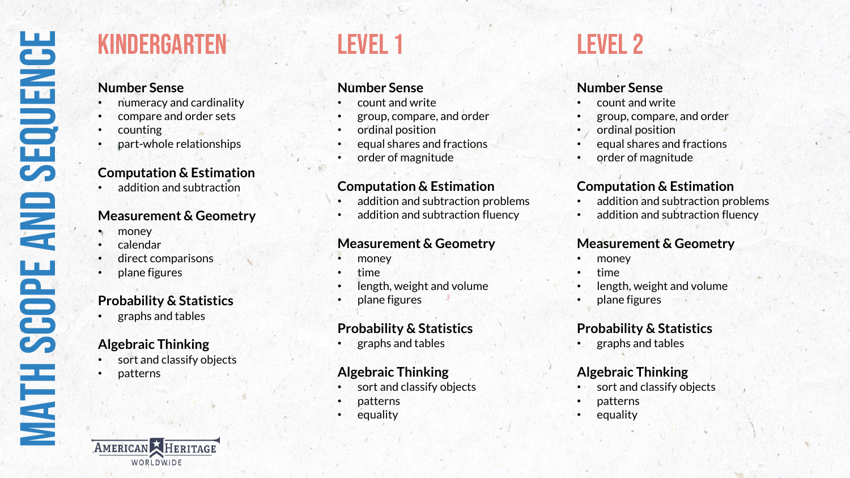## Kindergarten

#### **Number Sense**

- numeracy and cardinality
- compare and order sets
- counting
- part-whole relationships

## **Computation & Estimation**

addition and subtraction

#### **Measurement & Geometry**

- money
- calendar
- direct comparisons
- plane figures

### **Probability & Statistics**

• graphs and tables

## **Algebraic Thinking**

- sort and classify objects
- patterns

## Level 1

## **Number Sense**

- count and write
- group, compare, and order
- ordinal position
- equal shares and fractions
- order of magnitude

#### **Computation & Estimation**

- addition and subtraction problems
- addition and subtraction fluency

#### **Measurement & Geometry**

- money
- time
- length, weight and volume
- plane figures

## **Probability & Statistics**

• graphs and tables

#### **Algebraic Thinking**

- sort and classify objects
- patterns
- **equality**

## Level 2

#### **Number Sense**

- count and write
- group, compare, and order
- ordinal position
- equal shares and fractions
	- order of magnitude

### **Computation & Estimation**

- addition and subtraction problems
- addition and subtraction fluency

#### **Measurement & Geometry**

- money
- time
- length, weight and volume
- plane figures

#### **Probability & Statistics**

• graphs and tables

#### **Algebraic Thinking**

- sort and classify objects
- patterns
- **equality**

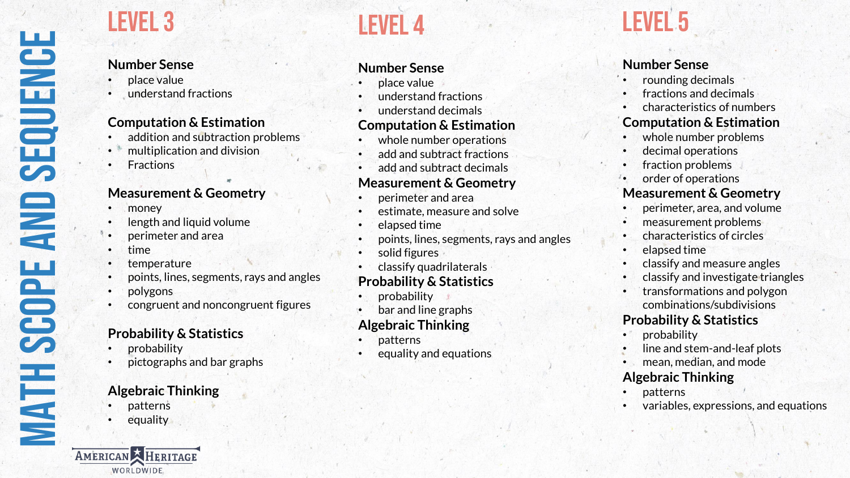## Level 3

## **Number Sense**

- place value
- understand fractions

#### **Computation & Estimation**

- addition and subtraction problems
- multiplication and division
- **Fractions**

#### **Measurement & Geometry**

- money
- length and liquid volume
- perimeter and area
- time
- temperature
- points, lines, segments, rays and angles
- polygons
- congruent and noncongruent figures

#### **Probability & Statistics**

- probability
- pictographs and bar graphs

### **Algebraic Thinking**

- patterns
- equality

AMERICAN HERITAGE WORLDWIDE.

## Level 4

## **Number Sense**

- place value
- understand fractions
- understand decimals

#### **Computation & Estimation**

- whole number operations
- add and subtract fractions
- add and subtract decimals

#### **Measurement & Geometry**

- perimeter and area
- estimate, measure and solve
- elapsed time
- points, lines, segments, rays and angles
- solid figures
- classify quadrilaterals

### **Probability & Statistics**

- probability
- bar and line graphs

#### **Algebraic Thinking**

- patterns
- equality and equations

# **LEVEL 5**

## **Number Sense**

- rounding decimals
- fractions and decimals
- characteristics of numbers

#### **Computation & Estimation**

- whole number problems
- decimal operations
- fraction problems
- order of operations

#### **Measurement & Geometry**

- perimeter, area, and volume
- measurement problems
- characteristics of circles
- elapsed time
- classify and measure angles
- classify and investigate triangles
- transformations and polygon combinations/subdivisions

#### **Probability & Statistics**

- probability
- line and stem-and-leaf plots
- mean, median, and mode

## **Algebraic Thinking**

- patterns
- variables, expressions, and equations